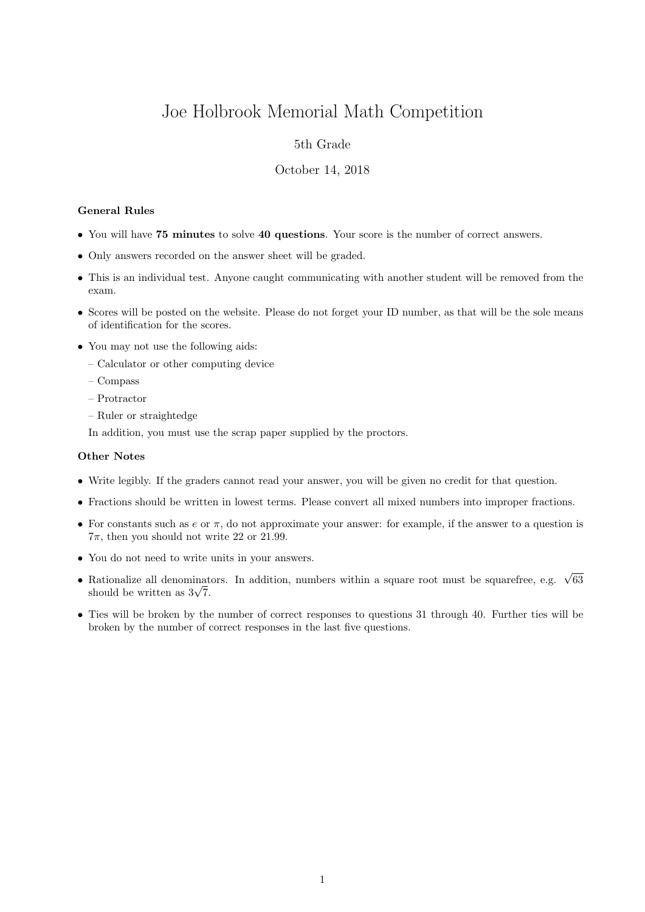# Joe Holbrook Memorial Math Competition

## 5th Grade

### October 14, 2018

#### General Rules

- You will have 75 minutes to solve 40 questions. Your score is the number of correct answers.
- Only answers recorded on the answer sheet will be graded.
- This is an individual test. Anyone caught communicating with another student will be removed from the exam.
- Scores will be posted on the website. Please do not forget your ID number, as that will be the sole means of identification for the scores.
- You may not use the following aids:
	- Calculator or other computing device
	- Compass
	- Protractor
	- Ruler or straightedge

In addition, you must use the scrap paper supplied by the proctors.

#### Other Notes

- Write legibly. If the graders cannot read your answer, you will be given no credit for that question.
- Fractions should be written in lowest terms. Please convert all mixed numbers into improper fractions.
- For constants such as  $e$  or  $\pi$ , do not approximate your answer: for example, if the answer to a question is  $7\pi$ , then you should not write 22 or 21.99.
- You do not need to write units in your answers.
- Rationalize all denominators. In addition, numbers within a square root must be squarefree, e.g.  $\sqrt{63}$  $\kappa$ ationalize all denominat<br>should be written as  $3\sqrt{7}$ .
- Ties will be broken by the number of correct responses to questions 31 through 40. Further ties will be broken by the number of correct responses in the last five questions.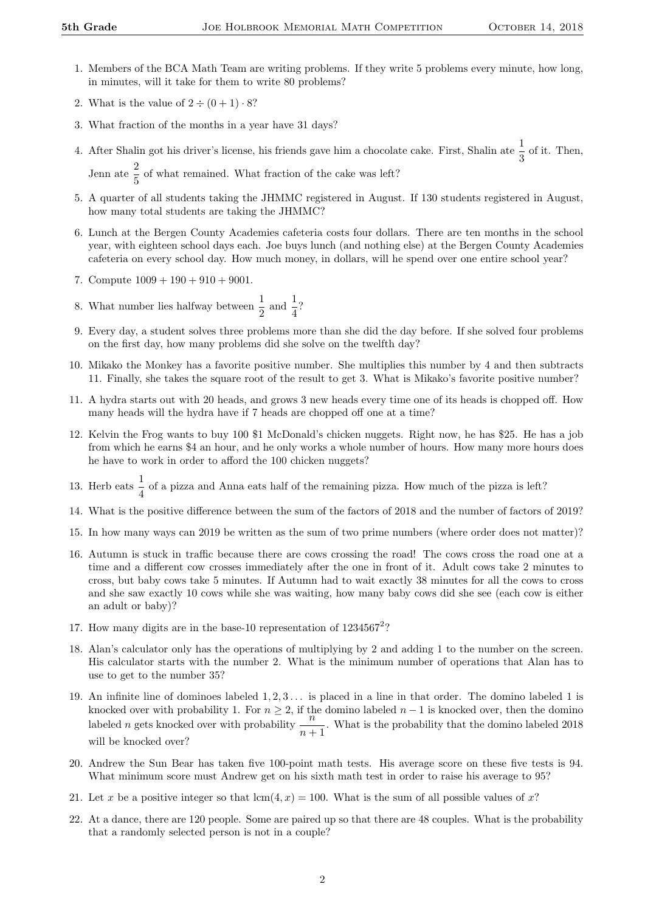- 1. Members of the BCA Math Team are writing problems. If they write 5 problems every minute, how long, in minutes, will it take for them to write 80 problems?
- 2. What is the value of  $2 \div (0 + 1) \cdot 8$ ?
- 3. What fraction of the months in a year have 31 days?
- 4. After Shalin got his driver's license, his friends gave him a chocolate cake. First, Shalin ate  $\frac{1}{3}$  of it. Then, Jenn ate  $\frac{2}{5}$  of what remained. What fraction of the cake was left?
- 5. A quarter of all students taking the JHMMC registered in August. If 130 students registered in August, how many total students are taking the JHMMC?
- 6. Lunch at the Bergen County Academies cafeteria costs four dollars. There are ten months in the school year, with eighteen school days each. Joe buys lunch (and nothing else) at the Bergen County Academies cafeteria on every school day. How much money, in dollars, will he spend over one entire school year?
- 7. Compute  $1009 + 190 + 910 + 9001$ .
- 8. What number lies halfway between  $\frac{1}{2}$  and  $\frac{1}{4}$ ?
- 9. Every day, a student solves three problems more than she did the day before. If she solved four problems on the first day, how many problems did she solve on the twelfth day?
- 10. Mikako the Monkey has a favorite positive number. She multiplies this number by 4 and then subtracts 11. Finally, she takes the square root of the result to get 3. What is Mikako's favorite positive number?
- 11. A hydra starts out with 20 heads, and grows 3 new heads every time one of its heads is chopped off. How many heads will the hydra have if 7 heads are chopped off one at a time?
- 12. Kelvin the Frog wants to buy 100 \$1 McDonald's chicken nuggets. Right now, he has \$25. He has a job from which he earns \$4 an hour, and he only works a whole number of hours. How many more hours does he have to work in order to afford the 100 chicken nuggets?
- 13. Herb eats  $\frac{1}{4}$  of a pizza and Anna eats half of the remaining pizza. How much of the pizza is left?
- 14. What is the positive difference between the sum of the factors of 2018 and the number of factors of 2019?
- 15. In how many ways can 2019 be written as the sum of two prime numbers (where order does not matter)?
- 16. Autumn is stuck in traffic because there are cows crossing the road! The cows cross the road one at a time and a different cow crosses immediately after the one in front of it. Adult cows take 2 minutes to cross, but baby cows take 5 minutes. If Autumn had to wait exactly 38 minutes for all the cows to cross and she saw exactly 10 cows while she was waiting, how many baby cows did she see (each cow is either an adult or baby)?
- 17. How many digits are in the base-10 representation of  $1234567^2$ ?
- 18. Alan's calculator only has the operations of multiplying by 2 and adding 1 to the number on the screen. His calculator starts with the number 2. What is the minimum number of operations that Alan has to use to get to the number 35?
- 19. An infinite line of dominoes labeled  $1, 2, 3, \ldots$  is placed in a line in that order. The domino labeled 1 is knocked over with probability 1. For  $n \geq 2$ , if the domino labeled  $n-1$  is knocked over, then the domino labeled n gets knocked over with probability  $\frac{n}{n+1}$ . What is the probability that the domino labeled 2018 will be knocked over?
- 20. Andrew the Sun Bear has taken five 100-point math tests. His average score on these five tests is 94. What minimum score must Andrew get on his sixth math test in order to raise his average to 95?
- 21. Let x be a positive integer so that  $lcm(4, x) = 100$ . What is the sum of all possible values of x?
- 22. At a dance, there are 120 people. Some are paired up so that there are 48 couples. What is the probability that a randomly selected person is not in a couple?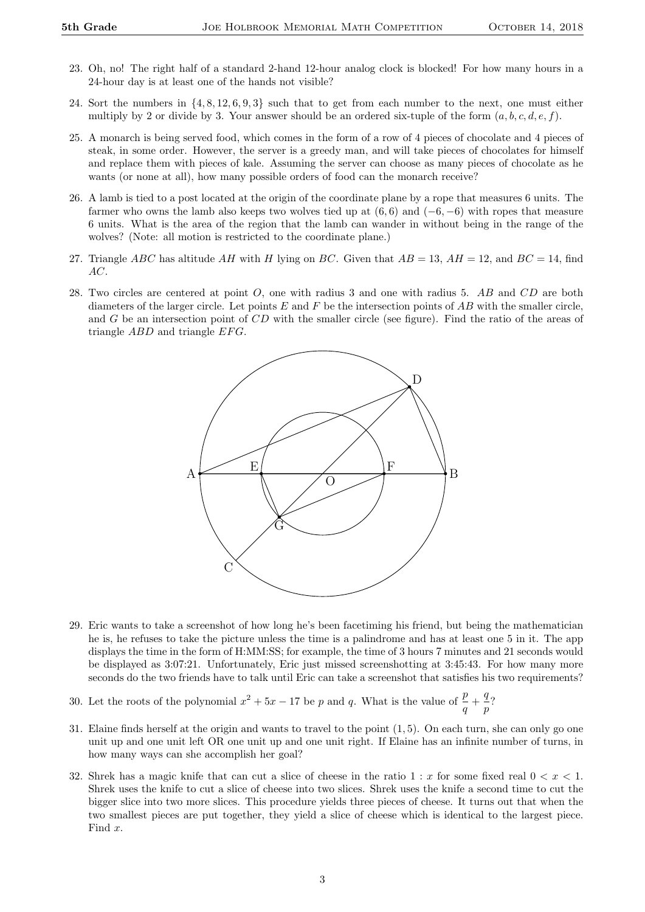- 23. Oh, no! The right half of a standard 2-hand 12-hour analog clock is blocked! For how many hours in a 24-hour day is at least one of the hands not visible?
- 24. Sort the numbers in {4, 8, 12, 6, 9, 3} such that to get from each number to the next, one must either multiply by 2 or divide by 3. Your answer should be an ordered six-tuple of the form  $(a, b, c, d, e, f)$ .
- 25. A monarch is being served food, which comes in the form of a row of 4 pieces of chocolate and 4 pieces of steak, in some order. However, the server is a greedy man, and will take pieces of chocolates for himself and replace them with pieces of kale. Assuming the server can choose as many pieces of chocolate as he wants (or none at all), how many possible orders of food can the monarch receive?
- 26. A lamb is tied to a post located at the origin of the coordinate plane by a rope that measures 6 units. The farmer who owns the lamb also keeps two wolves tied up at  $(6, 6)$  and  $(-6, -6)$  with ropes that measure 6 units. What is the area of the region that the lamb can wander in without being in the range of the wolves? (Note: all motion is restricted to the coordinate plane.)
- 27. Triangle ABC has altitude AH with H lying on BC. Given that  $AB = 13$ ,  $AH = 12$ , and  $BC = 14$ , find AC.
- 28. Two circles are centered at point O, one with radius 3 and one with radius 5. AB and CD are both diameters of the larger circle. Let points  $E$  and  $F$  be the intersection points of  $AB$  with the smaller circle, and G be an intersection point of CD with the smaller circle (see figure). Find the ratio of the areas of triangle  $ABD$  and triangle  $EFG$ .



- 29. Eric wants to take a screenshot of how long he's been facetiming his friend, but being the mathematician he is, he refuses to take the picture unless the time is a palindrome and has at least one 5 in it. The app displays the time in the form of H:MM:SS; for example, the time of 3 hours 7 minutes and 21 seconds would be displayed as 3:07:21. Unfortunately, Eric just missed screenshotting at 3:45:43. For how many more seconds do the two friends have to talk until Eric can take a screenshot that satisfies his two requirements?
- 30. Let the roots of the polynomial  $x^2 + 5x 17$  be p and q. What is the value of  $\frac{p}{q} + \frac{q}{p}$  $\frac{q}{p}$ ?
- 31. Elaine finds herself at the origin and wants to travel to the point (1, 5). On each turn, she can only go one unit up and one unit left OR one unit up and one unit right. If Elaine has an infinite number of turns, in how many ways can she accomplish her goal?
- 32. Shrek has a magic knife that can cut a slice of cheese in the ratio  $1 : x$  for some fixed real  $0 < x < 1$ . Shrek uses the knife to cut a slice of cheese into two slices. Shrek uses the knife a second time to cut the bigger slice into two more slices. This procedure yields three pieces of cheese. It turns out that when the two smallest pieces are put together, they yield a slice of cheese which is identical to the largest piece. Find x.